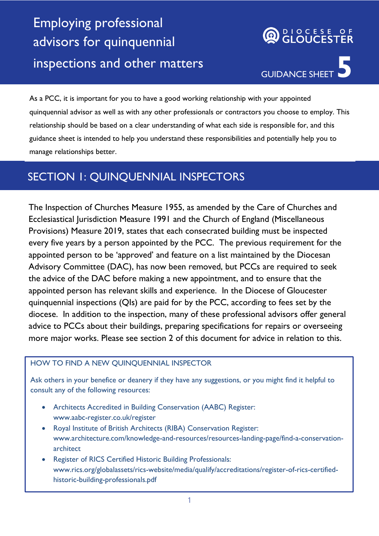## Employing professional advisors for quinquennial inspections and other matters

# DIOCESE OF<br>**GLOUCESTER** GUIDANCE SHEET

As a PCC, it is important for you to have a good working relationship with your appointed quinquennial advisor as well as with any other professionals or contractors you choose to employ. This relationship should be based on a clear understanding of what each side is responsible for, and this guidance sheet is intended to help you understand these responsibilities and potentially help you to manage relationships better.

## SECTION 1: QUINQUENNIAL INSPECTORS

The Inspection of Churches Measure 1955, as amended by the Care of Churches and Ecclesiastical Jurisdiction Measure 1991 and the Church of England (Miscellaneous Provisions) Measure 2019, states that each consecrated building must be inspected every five years by a person appointed by the PCC. The previous requirement for the appointed person to be 'approved' and feature on a list maintained by the Diocesan Advisory Committee (DAC), has now been removed, but PCCs are required to seek the advice of the DAC before making a new appointment, and to ensure that the appointed person has relevant skills and experience. In the Diocese of Gloucester quinquennial inspections (QIs) are paid for by the PCC, according to fees set by the diocese. In addition to the inspection, many of these professional advisors offer general advice to PCCs about their buildings, preparing specifications for repairs or overseeing more major works. Please see section 2 of this document for advice in relation to this.

#### HOW TO FIND A NEW QUINQUENNIAL INSPECTOR

Ask others in your benefice or deanery if they have any suggestions, or you might find it helpful to consult any of the following resources:

- Architects Accredited in Building Conservation (AABC) Register: [www.aabc-register.co.uk/register](http://www.aabc-register.co.uk/register)
- Royal Institute of British Architects (RIBA) Conservation Register: [www.architecture.com/knowledge-and-resources/resources-landing-page/find-a-conservation](http://www.architecture.com/knowledge-and-resources/resources-landing-page/find-a-conservation-architect)[architect](http://www.architecture.com/knowledge-and-resources/resources-landing-page/find-a-conservation-architect)
- Register of RICS Certified Historic Building Professionals: [www.rics.org/globalassets/rics-website/media/qualify/accreditations/register-of-rics-certified](http://www.rics.org/globalassets/rics-website/media/qualify/accreditations/register-of-rics-certified-historic-building-professionals.pdf)[historic-building-professionals.pdf](http://www.rics.org/globalassets/rics-website/media/qualify/accreditations/register-of-rics-certified-historic-building-professionals.pdf)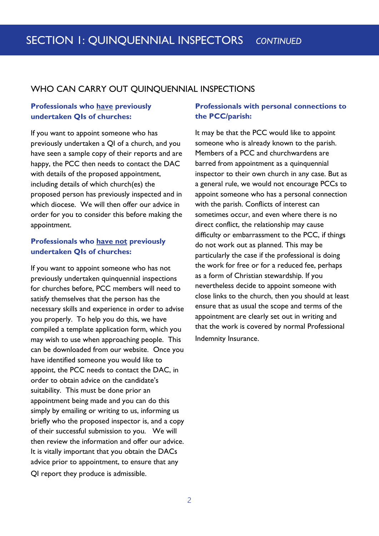#### WHO CAN CARRY OUT QUINQUENNIAL INSPECTIONS

#### **Professionals who have previously undertaken QIs of churches:**

If you want to appoint someone who has previously undertaken a QI of a church, and you have seen a sample copy of their reports and are happy, the PCC then needs to contact the DAC with details of the proposed appointment, including details of which church(es) the proposed person has previously inspected and in which diocese. We will then offer our advice in order for you to consider this before making the appointment.

#### **Professionals who have not previously undertaken QIs of churches:**

If you want to appoint someone who has not previously undertaken quinquennial inspections for churches before, PCC members will need to satisfy themselves that the person has the necessary skills and experience in order to advise you properly. To help you do this, we have compiled a template application form, which you may wish to use when approaching people. This can be downloaded from our website. Once you have identified someone you would like to appoint, the PCC needs to contact the DAC, in order to obtain advice on the candidate's suitability. This must be done prior an appointment being made and you can do this simply by emailing or writing to us, informing us briefly who the proposed inspector is, and a copy of their successful submission to you. We will then review the information and offer our advice. It is vitally important that you obtain the DACs advice prior to appointment, to ensure that any QI report they produce is admissible.

#### **Professionals with personal connections to the PCC/parish:**

It may be that the PCC would like to appoint someone who is already known to the parish. Members of a PCC and churchwardens are barred from appointment as a quinquennial inspector to their own church in any case. But as a general rule, we would not encourage PCCs to appoint someone who has a personal connection with the parish. Conflicts of interest can sometimes occur, and even where there is no direct conflict, the relationship may cause difficulty or embarrassment to the PCC, if things do not work out as planned. This may be particularly the case if the professional is doing the work for free or for a reduced fee, perhaps as a form of Christian stewardship. If you nevertheless decide to appoint someone with close links to the church, then you should at least ensure that as usual the scope and terms of the appointment are clearly set out in writing and that the work is covered by normal Professional Indemnity Insurance.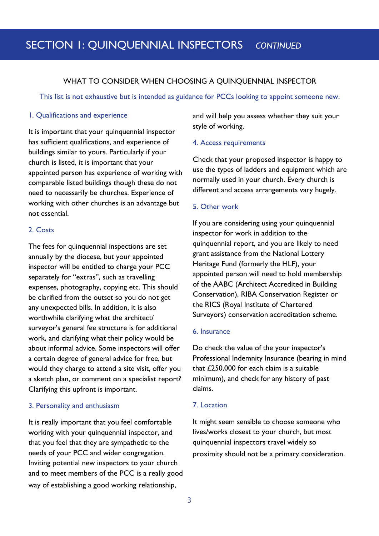### SECTION 1: QUINQUENNIAL INSPECTORS *CONTINUED*

#### WHAT TO CONSIDER WHEN CHOOSING A QUINQUENNIAL INSPECTOR

This list is not exhaustive but is intended as guidance for PCCs looking to appoint someone new.

#### 1. Qualifications and experience

It is important that your quinquennial inspector has sufficient qualifications, and experience of buildings similar to yours. Particularly if your church is listed, it is important that your appointed person has experience of working with comparable listed buildings though these do not need to necessarily be churches. Experience of working with other churches is an advantage but not essential.

#### 2. Costs

The fees for quinquennial inspections are set annually by the diocese, but your appointed inspector will be entitled to charge your PCC separately for "extras", such as travelling expenses, photography, copying etc. This should be clarified from the outset so you do not get any unexpected bills. In addition, it is also worthwhile clarifying what the architect/ surveyor's general fee structure is for additional work, and clarifying what their policy would be about informal advice. Some inspectors will offer a certain degree of general advice for free, but would they charge to attend a site visit, offer you a sketch plan, or comment on a specialist report? Clarifying this upfront is important.

#### 3. Personality and enthusiasm

It is really important that you feel comfortable working with your quinquennial inspector, and that you feel that they are sympathetic to the needs of your PCC and wider congregation. Inviting potential new inspectors to your church and to meet members of the PCC is a really good way of establishing a good working relationship,

and will help you assess whether they suit your style of working.

#### 4. Access requirements

Check that your proposed inspector is happy to use the types of ladders and equipment which are normally used in your church. Every church is different and access arrangements vary hugely.

#### 5. Other work

If you are considering using your quinquennial inspector for work in addition to the quinquennial report, and you are likely to need grant assistance from the National Lottery Heritage Fund (formerly the HLF), your appointed person will need to hold membership of the AABC (Architect Accredited in Building Conservation), RIBA Conservation Register or the RICS (Royal Institute of Chartered Surveyors) conservation accreditation scheme.

#### 6. Insurance

Do check the value of the your inspector's Professional Indemnity Insurance (bearing in mind that £250,000 for each claim is a suitable minimum), and check for any history of past claims.

#### 7. Location

It might seem sensible to choose someone who lives/works closest to your church, but most quinquennial inspectors travel widely so proximity should not be a primary consideration.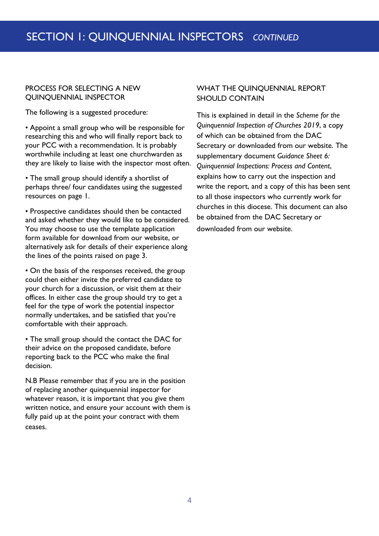#### PROCESS FOR SELECTING A NEW QUINQUENNIAL INSPECTOR

The following is a suggested procedure:

• Appoint a small group who will be responsible for researching this and who will finally report back to your PCC with a recommendation. It is probably worthwhile including at least one churchwarden as they are likely to liaise with the inspector most often.

• The small group should identify a shortlist of perhaps three/ four candidates using the suggested resources on page 1.

• Prospective candidates should then be contacted and asked whether they would like to be considered. You may choose to use the template application form available for download from our website, or alternatively ask for details of their experience along the lines of the points raised on page 3.

• On the basis of the responses received, the group could then either invite the preferred candidate to your church for a discussion, or visit them at their offices. In either case the group should try to get a feel for the type of work the potential inspector normally undertakes, and be satisfied that you're comfortable with their approach.

• The small group should the contact the DAC for their advice on the proposed candidate, before reporting back to the PCC who make the final decision.

N.B Please remember that if you are in the position of replacing another quinquennial inspector for whatever reason, it is important that you give them written notice, and ensure your account with them is fully paid up at the point your contract with them ceases.

#### WHAT THE QUINQUENNIAL REPORT SHOULD CONTAIN

This is explained in detail in the *Scheme for the Quinquennial Inspection of Churches 2019*, a copy of which can be obtained from the DAC Secretary or downloaded from our website. The supplementary document *Guidance Sheet 6: Quinquennial Inspections: Process and Content*, explains how to carry out the inspection and write the report, and a copy of this has been sent to all those inspectors who currently work for churches in this diocese. This document can also be obtained from the DAC Secretary or downloaded from our website.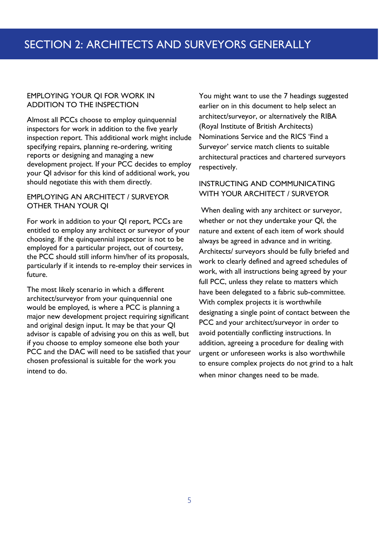#### EMPLOYING YOUR QI FOR WORK IN ADDITION TO THE INSPECTION

Almost all PCCs choose to employ quinquennial inspectors for work in addition to the five yearly inspection report. This additional work might include specifying repairs, planning re-ordering, writing reports or designing and managing a new development project. If your PCC decides to employ your QI advisor for this kind of additional work, you should negotiate this with them directly.

#### EMPLOYING AN ARCHITECT / SURVEYOR OTHER THAN YOUR QI

For work in addition to your QI report, PCCs are entitled to employ any architect or surveyor of your choosing. If the quinquennial inspector is not to be employed for a particular project, out of courtesy, the PCC should still inform him/her of its proposals, particularly if it intends to re-employ their services in future.

The most likely scenario in which a different architect/surveyor from your quinquennial one would be employed, is where a PCC is planning a major new development project requiring significant and original design input. It may be that your QI advisor is capable of advising you on this as well, but if you choose to employ someone else both your PCC and the DAC will need to be satisfied that your chosen professional is suitable for the work you intend to do.

You might want to use the 7 headings suggested earlier on in this document to help select an architect/surveyor, or alternatively the RIBA (Royal Institute of British Architects) Nominations Service and the RICS 'Find a Surveyor' service match clients to suitable architectural practices and chartered surveyors respectively.

#### INSTRUCTING AND COMMUNICATING WITH YOUR ARCHITECT / SURVEYOR

When dealing with any architect or surveyor, whether or not they undertake your QI, the nature and extent of each item of work should always be agreed in advance and in writing. Architects/ surveyors should be fully briefed and work to clearly defined and agreed schedules of work, with all instructions being agreed by your full PCC, unless they relate to matters which have been delegated to a fabric sub-committee. With complex projects it is worthwhile designating a single point of contact between the PCC and your architect/surveyor in order to avoid potentially conflicting instructions. In addition, agreeing a procedure for dealing with urgent or unforeseen works is also worthwhile to ensure complex projects do not grind to a halt when minor changes need to be made.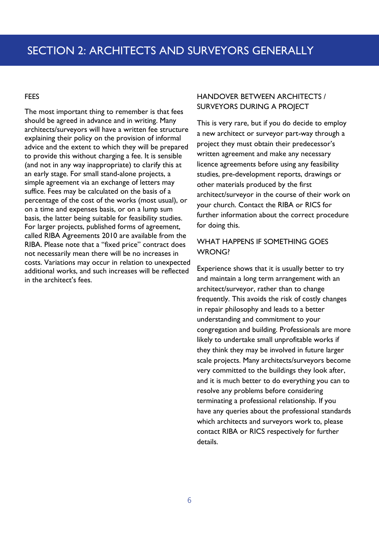#### FEES

The most important thing to remember is that fees should be agreed in advance and in writing. Many architects/surveyors will have a written fee structure explaining their policy on the provision of informal advice and the extent to which they will be prepared to provide this without charging a fee. It is sensible (and not in any way inappropriate) to clarify this at an early stage. For small stand-alone projects, a simple agreement via an exchange of letters may suffice. Fees may be calculated on the basis of a percentage of the cost of the works (most usual), or on a time and expenses basis, or on a lump sum basis, the latter being suitable for feasibility studies. For larger projects, published forms of agreement, called RIBA Agreements 2010 are available from the RIBA. Please note that a "fixed price" contract does not necessarily mean there will be no increases in costs. Variations may occur in relation to unexpected additional works, and such increases will be reflected in the architect's fees.

#### HANDOVER BETWEEN ARCHITECTS / SURVEYORS DURING A PROJECT

This is very rare, but if you do decide to employ a new architect or surveyor part-way through a project they must obtain their predecessor's written agreement and make any necessary licence agreements before using any feasibility studies, pre-development reports, drawings or other materials produced by the first architect/surveyor in the course of their work on your church. Contact the RIBA or RICS for further information about the correct procedure for doing this.

#### WHAT HAPPENS IF SOMETHING GOES WRONG?

Experience shows that it is usually better to try and maintain a long term arrangement with an architect/surveyor, rather than to change frequently. This avoids the risk of costly changes in repair philosophy and leads to a better understanding and commitment to your congregation and building. Professionals are more likely to undertake small unprofitable works if they think they may be involved in future larger scale projects. Many architects/surveyors become very committed to the buildings they look after, and it is much better to do everything you can to resolve any problems before considering terminating a professional relationship. If you have any queries about the professional standards which architects and surveyors work to, please contact RIBA or RICS respectively for further details.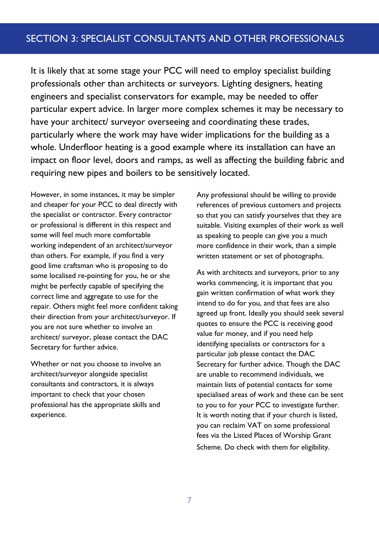It is likely that at some stage your PCC will need to employ specialist building professionals other than architects or surveyors. Lighting designers, heating engineers and specialist conservators for example, may be needed to offer particular expert advice. In larger more complex schemes it may be necessary to have your architect/ surveyor overseeing and coordinating these trades, particularly where the work may have wider implications for the building as a whole. Underfloor heating is a good example where its installation can have an impact on floor level, doors and ramps, as well as affecting the building fabric and requiring new pipes and boilers to be sensitively located.

However, in some instances, it may be simpler and cheaper for your PCC to deal directly with the specialist or contractor. Every contractor or professional is different in this respect and some will feel much more comfortable working independent of an architect/surveyor than others. For example, if you find a very good lime craftsman who is proposing to do some localised re-pointing for you, he or she might be perfectly capable of specifying the correct lime and aggregate to use for the repair. Others might feel more confident taking their direction from your architect/surveyor. If you are not sure whether to involve an architect/ surveyor, please contact the DAC Secretary for further advice.

Whether or not you choose to involve an architect/surveyor alongside specialist consultants and contractors, it is always important to check that your chosen professional has the appropriate skills and experience.

Any professional should be willing to provide references of previous customers and projects so that you can satisfy yourselves that they are suitable. Visiting examples of their work as well as speaking to people can give you a much more confidence in their work, than a simple written statement or set of photographs.

As with architects and surveyors, prior to any works commencing, it is important that you gain written confirmation of what work they intend to do for you, and that fees are also agreed up front. Ideally you should seek several quotes to ensure the PCC is receiving good value for money, and if you need help identifying specialists or contractors for a particular job please contact the DAC Secretary for further advice. Though the DAC are unable to recommend individuals, we maintain lists of potential contacts for some specialised areas of work and these can be sent to you to for your PCC to investigate further. It is worth noting that if your church is listed, you can reclaim VAT on some professional fees via the Listed Places of Worship Grant Scheme. Do check with them for eligibility.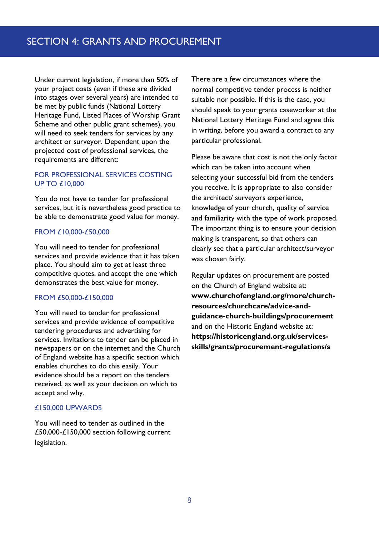Under current legislation, if more than 50% of your project costs (even if these are divided into stages over several years) are intended to be met by public funds (National Lottery Heritage Fund, Listed Places of Worship Grant Scheme and other public grant schemes), you will need to seek tenders for services by any architect or surveyor. Dependent upon the projected cost of professional services, the requirements are different:

#### FOR PROFESSIONAL SERVICES COSTING UP TO £10,000

You do not have to tender for professional services, but it is nevertheless good practice to be able to demonstrate good value for money.

#### FROM £10,000-£50,000

You will need to tender for professional services and provide evidence that it has taken place. You should aim to get at least three competitive quotes, and accept the one which demonstrates the best value for money.

#### FROM £50,000-£150,000

You will need to tender for professional services and provide evidence of competitive tendering procedures and advertising for services. Invitations to tender can be placed in newspapers or on the internet and the Church of England website has a specific section which enables churches to do this easily. Your evidence should be a report on the tenders received, as well as your decision on which to accept and why.

#### £150,000 UPWARDS

You will need to tender as outlined in the £50,000-£150,000 section following current legislation.

There are a few circumstances where the normal competitive tender process is neither suitable nor possible. If this is the case, you should speak to your grants caseworker at the National Lottery Heritage Fund and agree this in writing, before you award a contract to any particular professional.

Please be aware that cost is not the only factor which can be taken into account when selecting your successful bid from the tenders you receive. It is appropriate to also consider the architect/ surveyors experience, knowledge of your church, quality of service and familiarity with the type of work proposed. The important thing is to ensure your decision making is transparent, so that others can clearly see that a particular architect/surveyor was chosen fairly.

Regular updates on procurement are posted on the Church of England website at: **[www.churchofengland.org/more/church](http://www.churchofengland.org/more/church-resources/churchcare/advice-and-guidance-church-buildings/procurement)[resources/churchcare/advice-and](http://www.churchofengland.org/more/church-resources/churchcare/advice-and-guidance-church-buildings/procurement)[guidance-church-buildings/procurement](http://www.churchofengland.org/more/church-resources/churchcare/advice-and-guidance-church-buildings/procurement)** and on the Historic England website at: **[https://historicengland.org.uk/services](https://historicengland.org.uk/services-skills/grants/procurement-regulations/)[skills/grants/procurement-regulations/s](https://historicengland.org.uk/services-skills/grants/procurement-regulations/)**